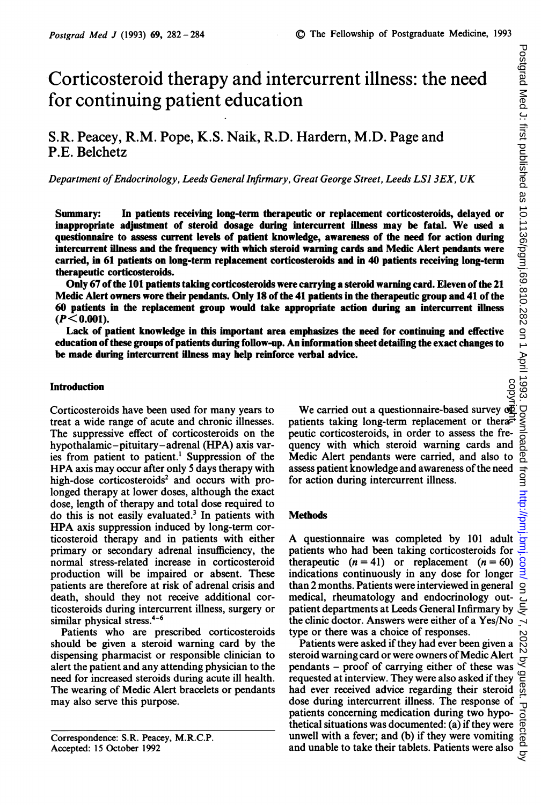# Corticosteroid therapy and intercurrent illness: the need for continuing patient education

# S.R. Peacey, R.M. Pope, K.S. Naik, R.D. Hardern, M.D. Page and P.E. Belchetz

Department of Endocrinology, Leeds General Infirmary, Great George Street, Leeds LS1 3EX, UK

Summary: In patients receiving long-term therapeutic or replacement corticosteroids, delayed or inappropriate adjustment of steroid dosage during intercurrent illness may be fatal. We used <sup>a</sup> questionnaire to assess current levels of patient knowledge, awareness of the need for action during intercurrent illness and the frequency with which steroid warning cards and Medic Alert pendants were carried, in 61 patients on long-term replacement corticosteroids and in 40 patients receiving long-term therapeutic corticosteroids.

Only 67 of the 101 patients taking corticosteroids were carrying a steroid warning card. Eleven of the 21 Medic Alert owners wore their pendants. Only 18 of the 41 patients in the therapeutic group and 41 of the 60 patients in the replacement group would take appropriate action during an intercurrent illness  $(P< 0.001)$ .

Lack of patient knowledge in this important area emphasizes the need for continuing and effective education ofthese groups ofpatients during follow-up. An information sheet detailing the exact changes to be made during intercurrent illness may help reinforce verbal advice.

# Introduction

Corticosteroids have been used for many years to treat a wide range of acute and chronic illnesses. The suppressive effect of corticosteroids on the hypothalamic-pituitary-adrenal (HPA) axis varies from patient to patient.' Suppression of the HPA axis may occur after only <sup>5</sup> days therapy with high-dose corticosteroids<sup>2</sup> and occurs with prolonged therapy at lower doses, although the exact dose, length of therapy and total dose required to do this is not easily evaluated.<sup>3</sup> In patients with HPA axis suppression induced by long-term corticosteroid therapy and in patients with either primary or secondary adrenal insufficiency, the normal stress-related increase in corticosteroid production will be impaired or absent. These patients are therefore at risk of adrenal crisis and death, should they not receive additional corticosteroids during intercurrent illness, surgery or similar physical stress.<sup>4-6</sup>

Patients who are prescribed corticosteroids should be given a steroid warning card by the dispensing pharmacist or responsible clinician to alert the patient and any attending physician to the need for increased steroids during acute ill health. The wearing of Medic Alert bracelets or pendants may also serve this purpose.

Correspondence: S.R. Peacey, M.R.C.P. Accepted: 15 October 1992

We carried out a questionnaire-based survey of patients taking long-term replacement or therapeutic corticosteroids, in order to assess the frequency with which steroid warning cards and Medic Alert pendants were carried, and also to assess patient knowledge and awareness of the need for action during intercurrent illness. copyright.

# Methods

A questionnaire was completed by <sup>101</sup> adult patients who had been taking corticosteroids for therapeutic  $(n = 41)$  or replacement  $(n = 60)$ indications continuously in any dose for longer than 2 months. Patients were interviewed in general medical, rheumatology and endocrinology outpatient departments at Leeds General Infirmary by the clinic doctor. Answers were either of a Yes/No type or there was a choice of responses.

Patients were asked if they had ever been given a steroid warning card or were owners of Medic Alert pendants - proof of carrying either of these was requested at interview. They were also asked if they requested at interview. They were also asked if they  $\frac{\infty}{6}$ <br>had ever received advice regarding their steroid  $\frac{\infty}{6}$ dose during intercurrent illness. The response of patients concerning medication during two hypothetical situations was documented: (a) if they were unwell with a fever; and (b) if they were vomiting and unable to take their tablets. Patients were also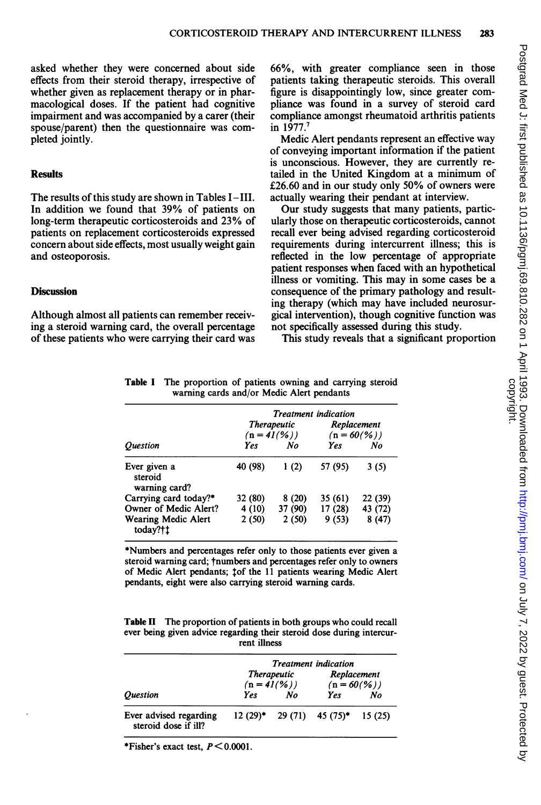asked whether they were concerned about side effects from their steroid therapy, irrespective of whether given as replacement therapy or in pharmacological doses. If the patient had cognitive impairment and was accompanied by a carer (their spouse/parent) then the questionnaire was completed jointly.

#### **Results**

The results of this study are shown in Tables I-III. In addition we found that 39% of patients on long-term therapeutic corticosteroids and 23% of patients on replacement corticosteroids expressed concern about side effects, most usually weight gain and osteoporosis.

## **Discussion**

Although almost all patients can remember receiving a steroid warning card, the overall percentage of these patients who were carrying their card was

66%, with greater compliance seen in those patients taking therapeutic steroids. This overall figure is disappointingly low, since greater compliance was found in a survey of steroid card compliance amongst rheumatoid arthritis patients in 1977.<sup>7</sup>

Medic Alert pendants represent an effective way of conveying important information if the patient is unconscious. However, they are currently retailed in the United Kingdom at a minimum of £26.60 and in our study only 50% of owners were actually wearing their pendant at interview.

Our study suggests that many patients, particularly those on therapeutic corticosteroids, cannot recall ever being advised regarding corticosteroid requirements during intercurrent illness; this is reflected in the low percentage of appropriate patient responses when faced with an hypothetical illness or vomiting. This may in some cases be a consequence of the primary pathology and resulting therapy (which may have included neurosurgical intervention), though cognitive function was not specifically assessed during this study.

This study reveals that a significant proportion

|                                          | <b>Treatment</b> indication |              |                                      |         |  |
|------------------------------------------|-----------------------------|--------------|--------------------------------------|---------|--|
|                                          |                             | Therapeutic  | Replacement<br>$(n = 60\frac{9}{6})$ |         |  |
|                                          |                             | $(n = 41(%)$ |                                      |         |  |
| <i><b>Ouestion</b></i>                   | Yes                         | No           | Yes                                  | No      |  |
| Ever given a<br>steroid<br>warning card? | 40 (98)                     | 1(2)         | 57 (95)                              | 3(5)    |  |
| Carrying card today?*                    | 32 (80)                     | 8(20)        | 35 (61)                              | 22 (39) |  |
| Owner of Medic Alert?                    | 4(10)                       | 37 (90)      | 17(28)                               | 43 (72) |  |
| <b>Wearing Medic Alert</b><br>today?†1   | 2(50)                       | 2(50)        | 9(53)                                | 8(47)   |  |

Table <sup>I</sup> The proportion of patients owning and carrying steroid warning cards and/or Medic Alert pendants

\*Numbers and percentages refer only to those patients ever given a steroid warning card; tnumbers and percentages refer only to owners of Medic Alert pendants; tof the <sup>11</sup> patients wearing Medic Alert pendants, eight were also carrying steroid warning cards.

Table II The proportion of patients in both groups who could recall ever being given advice regarding their steroid dose during intercurrent illness

|                                                | <b>Treatment</b> indication |                                    |                                      |        |  |
|------------------------------------------------|-----------------------------|------------------------------------|--------------------------------------|--------|--|
|                                                |                             | <b>Therapeutic</b><br>$(n = 41(%)$ | Replacement<br>$(n = 60\frac{9}{6})$ |        |  |
| <i><b>Ouestion</b></i>                         | Yes                         | No                                 | <b>Yes</b>                           | No     |  |
| Ever advised regarding<br>steroid dose if ill? |                             |                                    | $12(29)^*$ 29 (71) 45 (75)*          | 15(25) |  |

\*Fisher's exact test,  $P < 0.0001$ .